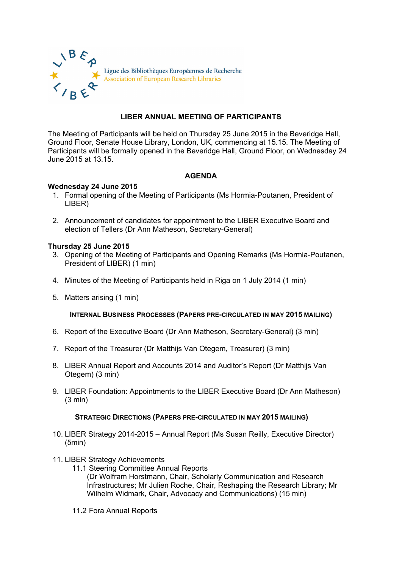

# **LIBER ANNUAL MEETING OF PARTICIPANTS**

The Meeting of Participants will be held on Thursday 25 June 2015 in the Beveridge Hall, Ground Floor, Senate House Library, London, UK, commencing at 15.15. The Meeting of Participants will be formally opened in the Beveridge Hall, Ground Floor, on Wednesday 24 June 2015 at 13.15.

## **AGENDA**

## **Wednesday 24 June 2015**

- 1. Formal opening of the Meeting of Participants (Ms Hormia-Poutanen, President of LIBER)
- 2. Announcement of candidates for appointment to the LIBER Executive Board and election of Tellers (Dr Ann Matheson, Secretary-General)

### **Thursday 25 June 2015**

- 3. Opening of the Meeting of Participants and Opening Remarks (Ms Hormia-Poutanen, President of LIBER) (1 min)
- 4. Minutes of the Meeting of Participants held in Riga on 1 July 2014 (1 min)
- 5. Matters arising (1 min)

### **INTERNAL BUSINESS PROCESSES (PAPERS PRE-CIRCULATED IN MAY 2015 MAILING)**

- 6. Report of the Executive Board (Dr Ann Matheson, Secretary-General) (3 min)
- 7. Report of the Treasurer (Dr Matthijs Van Otegem, Treasurer) (3 min)
- 8. LIBER Annual Report and Accounts 2014 and Auditor's Report (Dr Matthijs Van Otegem) (3 min)
- 9. LIBER Foundation: Appointments to the LIBER Executive Board (Dr Ann Matheson) (3 min)

### **STRATEGIC DIRECTIONS (PAPERS PRE-CIRCULATED IN MAY 2015 MAILING)**

- 10. LIBER Strategy 2014-2015 Annual Report (Ms Susan Reilly, Executive Director) (5min)
- 11. LIBER Strategy Achievements
	- 11.1 Steering Committee Annual Reports (Dr Wolfram Horstmann, Chair, Scholarly Communication and Research Infrastructures; Mr Julien Roche, Chair, Reshaping the Research Library; Mr Wilhelm Widmark, Chair, Advocacy and Communications) (15 min)
	- 11.2 Fora Annual Reports